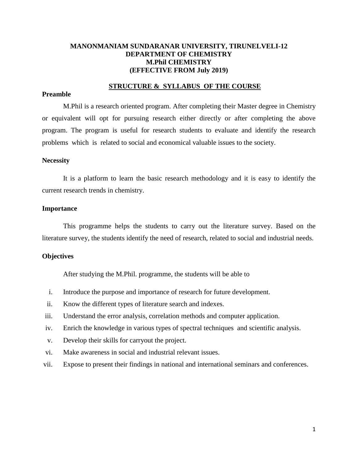# **MANONMANIAM SUNDARANAR UNIVERSITY, TIRUNELVELI-12 DEPARTMENT OF CHEMISTRY M.Phil CHEMISTRY (EFFECTIVE FROM July 2019)**

### **STRUCTURE & SYLLABUS OF THE COURSE**

#### **Preamble**

M.Phil is a research oriented program. After completing their Master degree in Chemistry or equivalent will opt for pursuing research either directly or after completing the above program. The program is useful for research students to evaluate and identify the research problems which is related to social and economical valuable issues to the society.

#### **Necessity**

It is a platform to learn the basic research methodology and it is easy to identify the current research trends in chemistry.

#### **Importance**

This programme helps the students to carry out the literature survey. Based on the literature survey, the students identify the need of research, related to social and industrial needs.

#### **Objectives**

After studying the M.Phil. programme, the students will be able to

- i. Introduce the purpose and importance of research for future development.
- ii. Know the different types of literature search and indexes.
- iii. Understand the error analysis, correlation methods and computer application.
- iv. Enrich the knowledge in various types of spectral techniques and scientific analysis.
- v. Develop their skills for carryout the project.
- vi. Make awareness in social and industrial relevant issues.
- vii. Expose to present their findings in national and international seminars and conferences.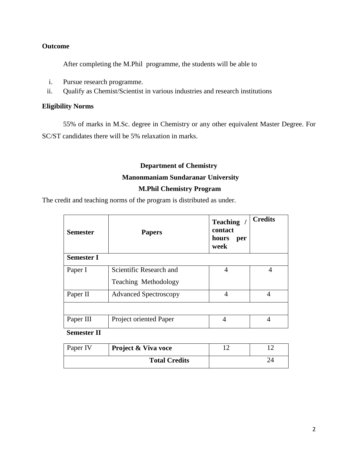# **Outcome**

After completing the M.Phil programme, the students will be able to

- i. Pursue research programme.
- ii. Qualify as Chemist/Scientist in various industries and research institutions

# **Eligibility Norms**

55% of marks in M.Sc. degree in Chemistry or any other equivalent Master Degree. For SC/ST candidates there will be 5% relaxation in marks.

# **Department of Chemistry Manonmaniam Sundaranar University M.Phil Chemistry Program**

The credit and teaching norms of the program is distributed as under.

| <b>Semester</b>   | <b>Papers</b>                 | <b>Teaching</b><br>contact<br>hours<br>per<br>week | <b>Credits</b> |
|-------------------|-------------------------------|----------------------------------------------------|----------------|
| <b>Semester I</b> |                               |                                                    |                |
| Paper I           | Scientific Research and       | 4                                                  | $\overline{4}$ |
|                   | Teaching Methodology          |                                                    |                |
| Paper II          | <b>Advanced Spectroscopy</b>  | 4                                                  | 4              |
|                   |                               |                                                    |                |
| Paper III         | <b>Project oriented Paper</b> | 4                                                  | 4              |
|                   |                               |                                                    |                |

 **Semester II**

| Paper IV | Project & Viva voce  |  |
|----------|----------------------|--|
|          | <b>Total Credits</b> |  |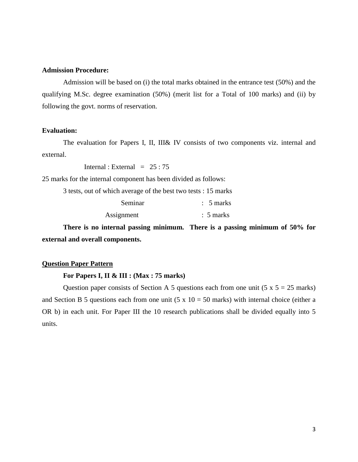#### **Admission Procedure:**

Admission will be based on (i) the total marks obtained in the entrance test (50%) and the qualifying M.Sc. degree examination (50%) (merit list for a Total of 100 marks) and (ii) by following the govt. norms of reservation.

#### **Evaluation:**

The evaluation for Papers I, II, III& IV consists of two components viz. internal and external.

Internal : External =  $25:75$ 

25 marks for the internal component has been divided as follows:

3 tests, out of which average of the best two tests : 15 marks

| Seminar    | $\therefore$ 5 marks |
|------------|----------------------|
| Assignment | $\therefore$ 5 marks |

**There is no internal passing minimum. There is a passing minimum of 50% for external and overall components.**

#### **Question Paper Pattern**

#### **For Papers I, II & III : (Max : 75 marks)**

Question paper consists of Section A 5 questions each from one unit  $(5 \times 5 = 25 \text{ marks})$ and Section B 5 questions each from one unit  $(5 \times 10 = 50 \text{ marks})$  with internal choice (either a OR b) in each unit. For Paper III the 10 research publications shall be divided equally into 5 units.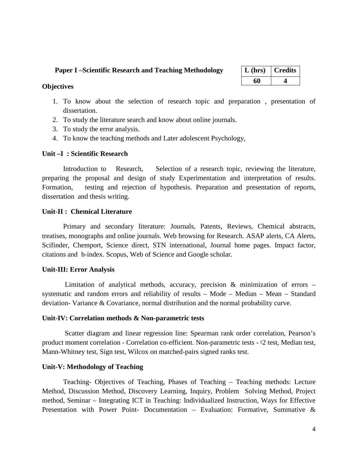### **Paper I –Scientific Research and Teaching Methodology**

| $L$ (hrs) | <b>Credits</b> |  |
|-----------|----------------|--|
| 60        |                |  |

### **Objectives**

- 1. To know about the selection of research topic and preparation , presentation of dissertation.
- 2. To study the literature search and know about online journals.
- 3. To study the error analysis.
- 4. To know the teaching methods and Later adolescent Psychology,

# **Unit –I : Scientific Research**

Introduction to Research, Selection of a research topic, reviewing the literature, preparing the proposal and design of study Experimentation and interpretation of results. Formation, testing and rejection of hypothesis. Preparation and presentation of reports, dissertation and thesis writing.

# **Unit-II : Chemical Literature**

Primary and secondary literature: Journals, Patents, Reviews, Chemical abstracts, treatises, monographs and online journals. Web browsing for Research. ASAP alerts, CA Alerts, Scifinder, Chemport, Science direct, STN international, Journal home pages. Impact factor, citations and h-index. Scopus, Web of Science and Google scholar.

# **Unit-III: Error Analysis**

Limitation of analytical methods, accuracy, precision  $\&$  minimization of errors – systematic and random errors and reliability of results – Mode – Median – Mean – Standard deviation- Variance & Covariance, normal distribution and the normal probability curve.

#### **Unit-IV: Correlation methods & Non-parametric tests**

Scatter diagram and linear regression line: Spearman rank order correlation, Pearson's product moment correlation - Correlation co-efficient. Non-parametric tests -  $x_2$  test, Median test, Mann-Whitney test, Sign test, Wilcox on matched-pairs signed ranks test.

# **Unit-V: Methodology of Teaching**

Teaching- Objectives of Teaching, Phases of Teaching – Teaching methods: Lecture Method, Discussion Method, Discovery Learning, Inquiry, Problem Solving Method, Project method, Seminar – Integrating ICT in Teaching: Individualized Instruction, Ways for Effective Presentation with Power Point- Documentation – Evaluation: Formative, Summative &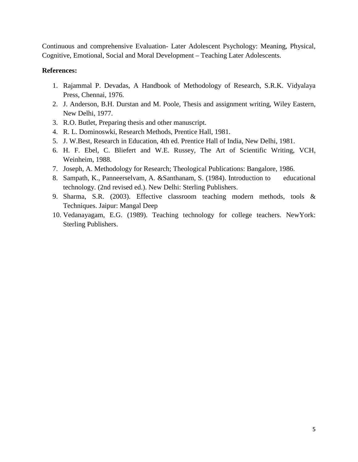Continuous and comprehensive Evaluation- Later Adolescent Psychology: Meaning, Physical, Cognitive, Emotional, Social and Moral Development – Teaching Later Adolescents.

- 1. Rajammal P. Devadas, A Handbook of Methodology of Research, S.R.K. Vidyalaya Press, Chennai, 1976.
- 2. J. Anderson, B.H. Durstan and M. Poole, Thesis and assignment writing, Wiley Eastern, New Delhi, 1977.
- 3. R.O. Butlet, Preparing thesis and other manuscript.
- 4. R. L. Dominoswki, Research Methods, Prentice Hall, 1981.
- 5. J. W.Best, Research in Education, 4th ed. Prentice Hall of India, New Delhi, 1981.
- 6. H. F. Ebel, C. Bliefert and W.E. Russey, The Art of Scientific Writing, VCH, Weinheim, 1988.
- 7. Joseph, A. Methodology for Research; Theological Publications: Bangalore, 1986.
- 8. Sampath, K., Panneerselvam, A. &Santhanam, S. (1984). Introduction to educational technology. (2nd revised ed.). New Delhi: Sterling Publishers.
- 9. Sharma, S.R. (2003). Effective classroom teaching modern methods, tools & Techniques. Jaipur: Mangal Deep
- 10. Vedanayagam, E.G. (1989). Teaching technology for college teachers. NewYork: Sterling Publishers.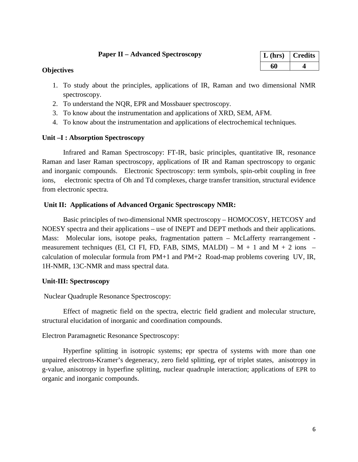# **Paper II – Advanced Spectroscopy**

| $L$ (hrs) | <b>Credits</b> |
|-----------|----------------|
| 60        |                |

# **Objectives**

- 1. To study about the principles, applications of IR, Raman and two dimensional NMR spectroscopy.
- 2. To understand the NQR, EPR and Mossbauer spectroscopy.
- 3. To know about the instrumentation and applications of XRD, SEM, AFM.
- 4. To know about the instrumentation and applications of electrochemical techniques.

# **Unit –I : Absorption Spectroscopy**

Infrared and Raman Spectroscopy: FT-IR, basic principles, quantitative IR, resonance Raman and laser Raman spectroscopy, applications of IR and Raman spectroscopy to organic and inorganic compounds. Electronic Spectroscopy: term symbols, spin-orbit coupling in free ions, electronic spectra of Oh and Td complexes, charge transfer transition, structural evidence from electronic spectra.

# **Unit II: Applications of Advanced Organic Spectroscopy NMR:**

Basic principles of two-dimensional NMR spectroscopy – HOMOCOSY, HETCOSY and NOESY spectra and their applications – use of INEPT and DEPT methods and their applications. Mass: Molecular ions, isotope peaks, fragmentation pattern – McLafferty rearrangement measurement techniques (EI, CI FI, FD, FAB, SIMS, MALDI) –  $M + 1$  and  $M + 2$  ions – calculation of molecular formula from PM+1 and PM+2 Road-map problems covering UV, IR, 1H-NMR, 13C-NMR and mass spectral data.

# **Unit-III: Spectroscopy**

Nuclear Quadruple Resonance Spectroscopy:

Effect of magnetic field on the spectra, electric field gradient and molecular structure, structural elucidation of inorganic and coordination compounds.

# Electron Paramagnetic Resonance Spectroscopy:

Hyperfine splitting in isotropic systems; epr spectra of systems with more than one unpaired electrons-Kramer's degeneracy, zero field splitting, epr of triplet states, anisotropy in g-value, anisotropy in hyperfine splitting, nuclear quadruple interaction; applications of EPR to organic and inorganic compounds.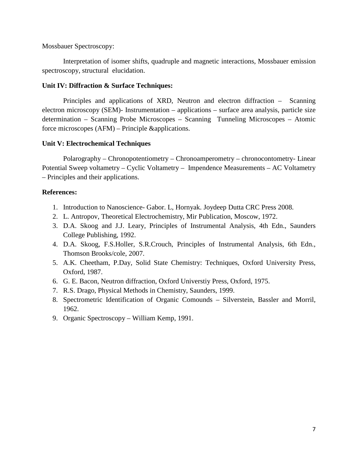Mossbauer Spectroscopy:

Interpretation of isomer shifts, quadruple and magnetic interactions, Mossbauer emission spectroscopy, structural elucidation.

# **Unit IV: Diffraction & Surface Techniques:**

Principles and applications of XRD, Neutron and electron diffraction – Scanning electron microscopy (SEM)- Instrumentation – applications – surface area analysis, particle size determination – Scanning Probe Microscopes – Scanning Tunneling Microscopes – Atomic force microscopes (AFM) – Principle &applications.

# **Unit V: Electrochemical Techniques**

Polarography – Chronopotentiometry – Chronoamperometry – chronocontometry- Linear Potential Sweep voltametry – Cyclic Voltametry – Impendence Measurements – AC Voltametry – Principles and their applications.

- 1. Introduction to Nanoscience- Gabor. L, Hornyak. Joydeep Dutta CRC Press 2008.
- 2. L. Antropov, Theoretical Electrochemistry, Mir Publication, Moscow, 1972.
- 3. D.A. Skoog and J.J. Leary, Principles of Instrumental Analysis, 4th Edn., Saunders College Publishing, 1992.
- 4. D.A. Skoog, F.S.Holler, S.R.Crouch, Principles of Instrumental Analysis, 6th Edn., Thomson Brooks/cole, 2007.
- 5. A.K. Cheetham, P.Day, Solid State Chemistry: Techniques, Oxford University Press, Oxford, 1987.
- 6. G. E. Bacon, Neutron diffraction, Oxford Universtiy Press, Oxford, 1975.
- 7. R.S. Drago, Physical Methods in Chemistry, Saunders, 1999.
- 8. Spectrometric Identification of Organic Comounds Silverstein, Bassler and Morril, 1962.
- 9. Organic Spectroscopy William Kemp, 1991.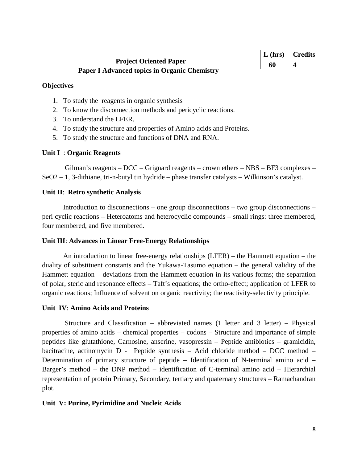| L (hrs) | <b>Credits</b> |
|---------|----------------|
| 60      |                |

# **Project Oriented Paper Paper I Advanced topics in Organic Chemistry**

# **Objectives**

- 1. To study the reagents in organic synthesis
- 2. To know the disconnection methods and pericyclic reactions.
- 3. To understand the LFER.
- 4. To study the structure and properties of Amino acids and Proteins.
- 5. To study the structure and functions of DNA and RNA.

# **Unit I** : **Organic Reagents**

Gilman's reagents – DCC – Grignard reagents – crown ethers – NBS – BF3 complexes – SeO2 – 1, 3-dithiane, tri-n-butyl tin hydride – phase transfer catalysts – Wilkinson's catalyst.

# **Unit II**: **Retro synthetic Analysis**

Introduction to disconnections – one group disconnections – two group disconnections – peri cyclic reactions – Heteroatoms and heterocyclic compounds – small rings: three membered, four membered, and five membered.

# **Unit III**: **Advances in Linear Free-Energy Relationships**

An introduction to linear free-energy relationships (LFER) – the Hammett equation – the duality of substituent constants and the Yukawa-Tasumo equation – the general validity of the Hammett equation – deviations from the Hammett equation in its various forms; the separation of polar, steric and resonance effects – Taft's equations; the ortho-effect; application of LFER to organic reactions; Influence of solvent on organic reactivity; the reactivity-selectivity principle.

# **Unit IV**: **Amino Acids and Proteins**

Structure and Classification – abbreviated names (1 letter and 3 letter) – Physical properties of amino acids – chemical properties – codons – Structure and importance of simple peptides like glutathione, Carnosine, anserine, vasopressin – Peptide antibiotics – gramicidin, bacitracine, actinomycin D - Peptide synthesis – Acid chloride method – DCC method – Determination of primary structure of peptide – Identification of N-terminal amino acid – Barger's method – the DNP method – identification of C-terminal amino acid – Hierarchial representation of protein Primary, Secondary, tertiary and quaternary structures – Ramachandran plot.

# **Unit V: Purine, Pyrimidine and Nucleic Acids**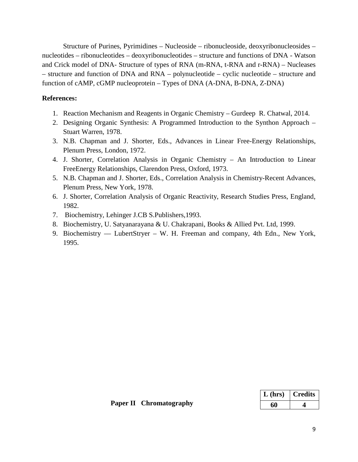Structure of Purines, Pyrimidines – Nucleoside – ribonucleoside, deoxyribonucleosides – nucleotides – ribonucleotides – deoxyribonucleotides – structure and functions of DNA - Watson and Crick model of DNA- Structure of types of RNA (m-RNA, t-RNA and r-RNA) – Nucleases – structure and function of DNA and RNA – polynucleotide – cyclic nucleotide – structure and function of cAMP, cGMP nucleoprotein – Types of DNA (A-DNA, B-DNA, Z-DNA)

- 1. Reaction Mechanism and Reagents in Organic Chemistry Gurdeep R. Chatwal, 2014.
- 2. Designing Organic Synthesis: A Programmed Introduction to the Synthon Approach Stuart Warren, 1978.
- 3. N.B. Chapman and J. Shorter, Eds., Advances in Linear Free-Energy Relationships, Plenum Press, London, 1972.
- 4. J. Shorter, Correlation Analysis in Organic Chemistry An Introduction to Linear FreeEnergy Relationships, Clarendon Press, Oxford, 1973.
- 5. N.B. Chapman and J. Shorter, Eds., Correlation Analysis in Chemistry-Recent Advances, Plenum Press, New York, 1978.
- 6. J. Shorter, Correlation Analysis of Organic Reactivity, Research Studies Press, England, 1982.
- 7. Biochemistry, Lehinger J.CB S.Publishers,1993.
- 8. Biochemistry, U. Satyanarayana & U. Chakrapani, Books & Allied Pvt. Ltd, 1999.
- 9. Biochemistry –– LubertStryer W. H. Freeman and company, 4th Edn., New York, 1995.

| $L$ (hrs) | <b>Credits</b> |
|-----------|----------------|
| 60        |                |

 **Paper II Chromatography**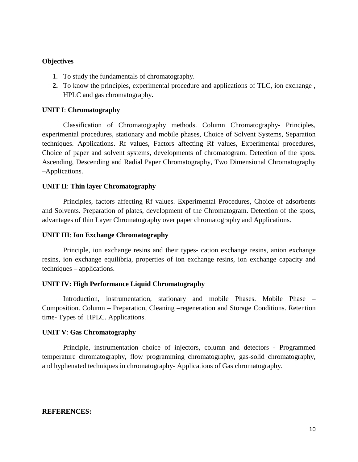- 1. To study the fundamentals of chromatography.
- **2.** To know the principles, experimental procedure and applications of TLC, ion exchange , HPLC and gas chromatography**.**

#### **UNIT I**: **Chromatography**

Classification of Chromatography methods. Column Chromatography- Principles, experimental procedures, stationary and mobile phases, Choice of Solvent Systems, Separation techniques. Applications. Rf values, Factors affecting Rf values, Experimental procedures, Choice of paper and solvent systems, developments of chromatogram. Detection of the spots. Ascending, Descending and Radial Paper Chromatography, Two Dimensional Chromatography –Applications.

#### **UNIT II**: **Thin layer Chromatography**

Principles, factors affecting Rf values. Experimental Procedures, Choice of adsorbents and Solvents. Preparation of plates, development of the Chromatogram. Detection of the spots, advantages of thin Layer Chromatography over paper chromatography and Applications.

#### **UNIT III**: **Ion Exchange Chromatography**

Principle, ion exchange resins and their types- cation exchange resins, anion exchange resins, ion exchange equilibria, properties of ion exchange resins, ion exchange capacity and techniques – applications.

### **UNIT IV: High Performance Liquid Chromatography**

Introduction, instrumentation, stationary and mobile Phases. Mobile Phase – Composition. Column – Preparation, Cleaning –regeneration and Storage Conditions. Retention time- Types of HPLC. Applications.

#### **UNIT V**: **Gas Chromatography**

Principle, instrumentation choice of injectors, column and detectors - Programmed temperature chromatography, flow programming chromatography, gas-solid chromatography, and hyphenated techniques in chromatography- Applications of Gas chromatography.

### **REFERENCES:**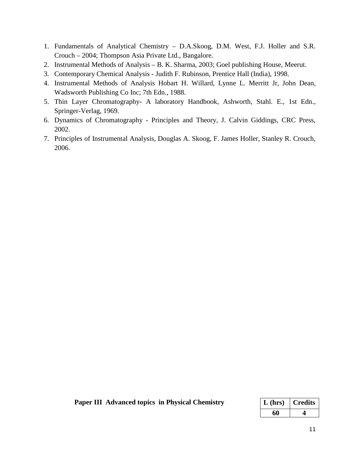- 1. Fundamentals of Analytical Chemistry D.A.Skoog, D.M. West, F.J. Holler and S.R. Crouch – 2004; Thompson Asia Private Ltd., Bangalore.
- 2. Instrumental Methods of Analysis B. K. Sharma, 2003; Goel publishing House, Meerut.
- 3. Contemporary Chemical Analysis Judith F. Rubinson, Prentice Hall (India), 1998.
- 4. Instrumental Methods of Analysis Hobart H. Willard, Lynne L. Merritt Jr, John Dean, Wadsworth Publishing Co Inc; 7th Edn., 1988.
- 5. Thin Layer Chromatography- A laboratory Handbook, Ashworth, Stahl. E., 1st Edn., Springer-Verlag, 1969.
- 6. Dynamics of Chromatography Principles and Theory, J. Calvin Giddings, CRC Press, 2002.
- 7. Principles of Instrumental Analysis, Douglas A. Skoog, F. James Holler, Stanley R. Crouch, 2006.

| <b>Paper III Advanced topics in Physical Chemistry</b> | $\mid$ L (hrs) $\mid$ Credits |  |
|--------------------------------------------------------|-------------------------------|--|
|                                                        |                               |  |

| $L$ (hrs) | <b>Credits</b> |
|-----------|----------------|
| 60        |                |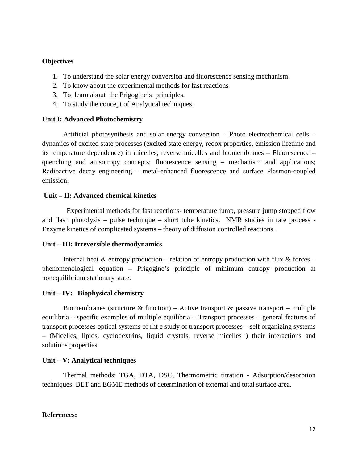- 1. To understand the solar energy conversion and fluorescence sensing mechanism.
- 2. To know about the experimental methods for fast reactions
- 3. To learn about the Prigogine's principles.
- 4. To study the concept of Analytical techniques.

#### **Unit I: Advanced Photochemistry**

Artificial photosynthesis and solar energy conversion – Photo electrochemical cells – dynamics of excited state processes (excited state energy, redox properties, emission lifetime and its temperature dependence) in micelles, reverse micelles and biomembranes – Fluorescence – quenching and anisotropy concepts; fluorescence sensing – mechanism and applications; Radioactive decay engineering – metal-enhanced fluorescence and surface Plasmon-coupled emission.

### **Unit – II: Advanced chemical kinetics**

 Experimental methods for fast reactions- temperature jump, pressure jump stopped flow and flash photolysis – pulse technique – short tube kinetics. NMR studies in rate process - Enzyme kinetics of complicated systems – theory of diffusion controlled reactions.

#### **Unit – III: Irreversible thermodynamics**

Internal heat  $&$  entropy production – relation of entropy production with flux  $&$  forces – phenomenological equation – Prigogine's principle of minimum entropy production at nonequilibrium stationary state.

#### **Unit – IV: Biophysical chemistry**

Biomembranes (structure  $\&$  function) – Active transport  $\&$  passive transport – multiple equilibria – specific examples of multiple equilibria – Transport processes – general features of transport processes optical systems of rht e study of transport processes – self organizing systems – (Micelles, lipids, cyclodextrins, liquid crystals, reverse micelles ) their interactions and solutions properties.

#### **Unit – V: Analytical techniques**

Thermal methods: TGA, DTA, DSC, Thermometric titration - Adsorption/desorption techniques: BET and EGME methods of determination of external and total surface area.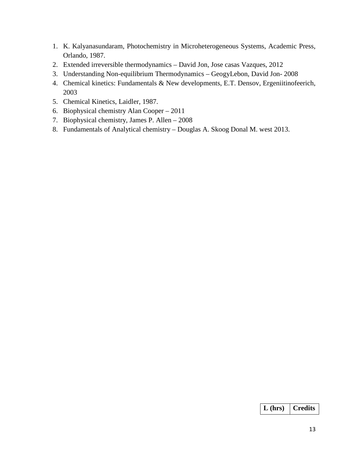- 1. K. Kalyanasundaram, Photochemistry in Microheterogeneous Systems, Academic Press, Orlando, 1987.
- 2. Extended irreversible thermodynamics David Jon, Jose casas Vazques, 2012
- 3. Understanding Non-equilibrium Thermodynamics GeogyLebon, David Jon- 2008
- 4. Chemical kinetics: Fundamentals & New developments, E.T. Densov, Ergeniitinofeerich, 2003
- 5. Chemical Kinetics, Laidler, 1987.
- 6. Biophysical chemistry Alan Cooper 2011
- 7. Biophysical chemistry, James P. Allen 2008
- 8. Fundamentals of Analytical chemistry Douglas A. Skoog Donal M. west 2013.

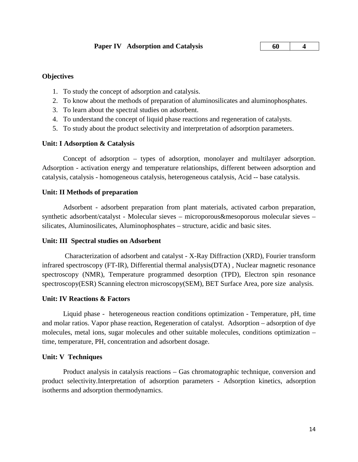**60 4**

# **Objectives**

- 1. To study the concept of adsorption and catalysis.
- 2. To know about the methods of preparation of aluminosilicates and aluminophosphates.
- 3. To learn about the spectral studies on adsorbent.
- 4. To understand the concept of liquid phase reactions and regeneration of catalysts.
- 5. To study about the product selectivity and interpretation of adsorption parameters.

# **Unit: I Adsorption & Catalysis**

Concept of adsorption – types of adsorption, monolayer and multilayer adsorption. Adsorption - activation energy and temperature relationships, different between adsorption and catalysis, catalysis - homogeneous catalysis, heterogeneous catalysis, Acid -- base catalysis.

### **Unit: II Methods of preparation**

Adsorbent - adsorbent preparation from plant materials, activated carbon preparation, synthetic adsorbent/catalyst - Molecular sieves – microporous&mesoporous molecular sieves – silicates, Aluminosilicates, Aluminophosphates – structure, acidic and basic sites.

# **Unit: III Spectral studies on Adsorbent**

Characterization of adsorbent and catalyst - X-Ray Diffraction (XRD), Fourier transform infrared spectroscopy (FT-IR), Differential thermal analysis(DTA) , Nuclear magnetic resonance spectroscopy (NMR), Temperature programmed desorption (TPD), Electron spin resonance spectroscopy(ESR) Scanning electron microscopy(SEM), BET Surface Area, pore size analysis.

#### **Unit: IV Reactions & Factors**

Liquid phase - heterogeneous reaction conditions optimization - Temperature, pH, time and molar ratios. Vapor phase reaction, Regeneration of catalyst. Adsorption – adsorption of dye molecules, metal ions, sugar molecules and other suitable molecules, conditions optimization – time, temperature, PH, concentration and adsorbent dosage.

#### **Unit: V Techniques**

Product analysis in catalysis reactions – Gas chromatographic technique, conversion and product selectivity.Interpretation of adsorption parameters - Adsorption kinetics, adsorption isotherms and adsorption thermodynamics.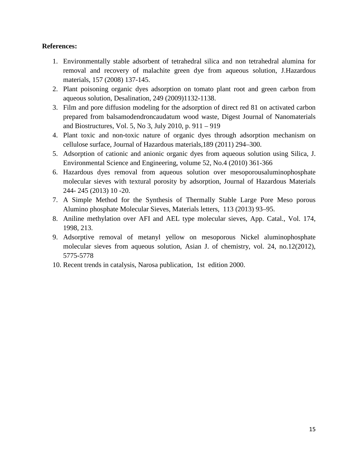- 1. Environmentally stable adsorbent of tetrahedral silica and non tetrahedral alumina for removal and recovery of malachite green dye from aqueous solution, J.Hazardous materials, 157 (2008) 137-145.
- 2. Plant poisoning organic dyes adsorption on tomato plant root and green carbon from aqueous solution, Desalination, 249 (2009)1132-1138.
- 3. Film and pore diffusion modeling for the adsorption of direct red 81 on activated carbon prepared from balsamodendroncaudatum wood waste, Digest Journal of Nanomaterials and Biostructures, Vol. 5, No 3, July 2010, p. 911 – 919
- 4. Plant toxic and non-toxic nature of organic dyes through adsorption mechanism on cellulose surface, Journal of Hazardous materials,189 (2011) 294–300.
- 5. Adsorption of cationic and anionic organic dyes from aqueous solution using Silica, J. Environmental Science and Engineering, volume 52, No.4 (2010) 361-366
- 6. Hazardous dyes removal from aqueous solution over mesoporousaluminophosphate molecular sieves with textural porosity by adsorption, Journal of Hazardous Materials 244- 245 (2013) 10 -20.
- 7. A Simple Method for the Synthesis of Thermally Stable Large Pore Meso porous Alumino phosphate Molecular Sieves, Materials letters, 113 (2013) 93–95.
- 8. Aniline methylation over AFI and AEL type molecular sieves, App. Catal., Vol. 174, 1998, 213.
- 9. Adsorptive removal of metanyl yellow on mesoporous Nickel aluminophosphate molecular sieves from aqueous solution, Asian J. of chemistry, vol. 24, no.12(2012), 5775-5778
- 10. Recent trends in catalysis, Narosa publication, 1st edition 2000.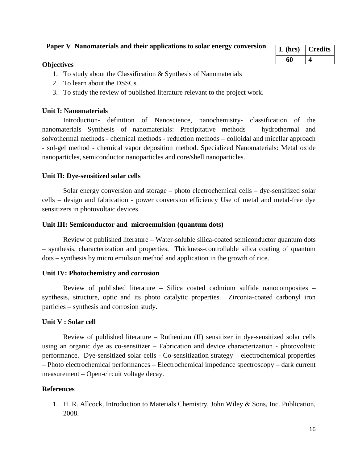- 1. To study about the Classification & Synthesis of Nanomaterials
- 2. To learn about the DSSCs.
- 3. To study the review of published literature relevant to the project work.

# **Unit I: Nanomaterials**

Introduction- definition of Nanoscience, nanochemistry- classification of the nanomaterials Synthesis of nanomaterials: Precipitative methods – hydrothermal and solvothermal methods - chemical methods - reduction methods – colloidal and micellar approach - sol-gel method - chemical vapor deposition method. Specialized Nanomaterials: Metal oxide nanoparticles, semiconductor nanoparticles and core/shell nanoparticles.

# **Unit II: Dye-sensitized solar cells**

 Solar energy conversion and storage – photo electrochemical cells – dye-sensitized solar cells – design and fabrication - power conversion efficiency Use of metal and metal-free dye sensitizers in photovoltaic devices.

# **Unit III: Semiconductor and microemulsion (quantum dots)**

Review of published literature – Water-soluble silica-coated semiconductor quantum dots – synthesis, characterization and properties. Thickness-controllable silica coating of quantum dots – synthesis by micro emulsion method and application in the growth of rice.

# **Unit IV: Photochemistry and corrosion**

Review of published literature – Silica coated cadmium sulfide nanocomposites – synthesis, structure, optic and its photo catalytic properties. Zirconia-coated carbonyl iron particles – synthesis and corrosion study.

# **Unit V : Solar cell**

 Review of published literature – Ruthenium (II) sensitizer in dye-sensitized solar cells using an organic dye as co-sensitizer – Fabrication and device characterization - photovoltaic performance. Dye-sensitized solar cells - Co-sensitization strategy – electrochemical properties – Photo electrochemical performances – Electrochemical impedance spectroscopy – dark current measurement – Open-circuit voltage decay.

# **References**

1. H. R. Allcock, Introduction to Materials Chemistry, John Wiley & Sons, Inc. Publication, 2008.

| $L$ (hrs) | <b>Credits</b> |
|-----------|----------------|
| 60        |                |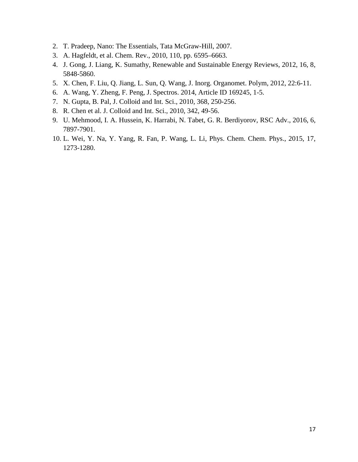- 2. T. Pradeep, Nano: The Essentials, Tata McGraw-Hill, 2007.
- 3. A. Hagfeldt, et al. Chem. Rev., 2010, 110, pp. 6595–6663.
- 4. J. Gong, J. Liang, K. Sumathy, Renewable and Sustainable Energy Reviews, 2012, 16, 8, 5848-5860.
- 5. X. Chen, F. Liu, Q. Jiang, L. Sun, Q. Wang, J. Inorg. Organomet. Polym, 2012, 22:6-11.
- 6. A. Wang, Y. Zheng, F. Peng, J. Spectros. 2014, Article ID 169245, 1-5.
- 7. N. Gupta, B. Pal, J. Colloid and Int. Sci., 2010, 368, 250-256.
- 8. R. Chen et al. J. Colloid and Int. Sci., 2010, 342, 49-56.
- 9. U. Mehmood, I. A. Hussein, K. Harrabi, N. Tabet, G. R. Berdiyorov, RSC Adv., 2016, 6, 7897-7901.
- 10. L. Wei, Y. Na, Y. Yang, R. Fan, P. Wang, L. Li, Phys. Chem. Chem. Phys., 2015, 17, 1273-1280.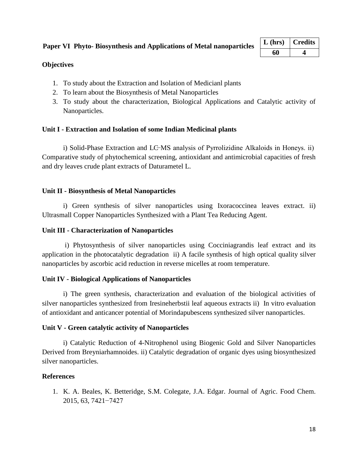| $L$ (hrs) | Credits |
|-----------|---------|
| 60        |         |

- 1. To study about the Extraction and Isolation of Medicianl plants
- 2. To learn about the Biosynthesis of Metal Nanoparticles
- 3. To study about the characterization, Biological Applications and Catalytic activity of Nanoparticles.

# **Unit I - Extraction and Isolation of some Indian Medicinal plants**

i) Solid-Phase Extraction and LC−MS analysis of Pyrrolizidine Alkaloids in Honeys. ii) Comparative study of phytochemical screening, antioxidant and antimicrobial capacities of fresh and dry leaves crude plant extracts of Daturametel L.

# **Unit II - Biosynthesis of Metal Nanoparticles**

i) Green synthesis of silver nanoparticles using Ixoracoccinea leaves extract. ii) Ultrasmall Copper Nanoparticles Synthesized with a Plant Tea Reducing Agent.

# **Unit III - Characterization of Nanoparticles**

i) Phytosynthesis of silver nanoparticles using Cocciniagrandis leaf extract and its application in the photocatalytic degradation ii) A facile synthesis of high optical quality silver nanoparticles by ascorbic acid reduction in reverse micelles at room temperature.

# **Unit IV - Biological Applications of Nanoparticles**

i) The green synthesis, characterization and evaluation of the biological activities of silver nanoparticles synthesized from Iresineherbstii leaf aqueous extracts ii) In vitro evaluation of antioxidant and anticancer potential of Morindapubescens synthesized silver nanoparticles.

# **Unit V - Green catalytic activity of Nanoparticles**

i) Catalytic Reduction of 4-Nitrophenol using Biogenic Gold and Silver Nanoparticles Derived from Breyniarhamnoides. ii) Catalytic degradation of organic dyes using biosynthesized silver nanoparticles.

# **References**

1. K. A. Beales, K. Betteridge, S.M. Colegate, J.A. Edgar. Journal of Agric. Food Chem. 2015, 63, 7421−7427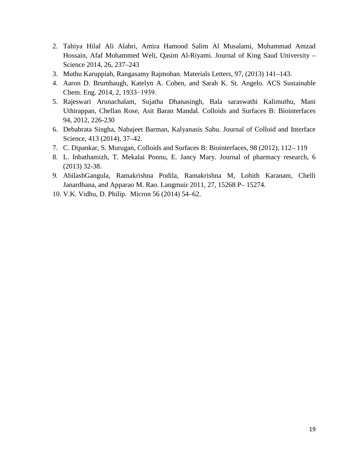- 2. Tahiya Hilal Ali Alabri, Amira Hamood Salim Al Musalami, Mohammad Amzad Hossain, Afaf Mohammed Weli, Qasim Al-Riyami. Journal of King Saud University – Science 2014, 26, 237–243
- 3. Muthu Karuppiah, Rangasamy Rajmohan. Materials Letters, 97, (2013) 141–143.
- 4. Aaron D. Brumbaugh, Katelyn A. Cohen, and Sarah K. St. Angelo. ACS Sustainable Chem. Eng. 2014, 2, 1933−1939.
- 5. Rajeswari Arunachalam, Sujatha Dhanasingh, Bala saraswathi Kalimuthu, Mani Uthirappan, Chellan Rose, Asit Baran Mandal. Colloids and Surfaces B: Biointerfaces 94, 2012, 226-230
- 6. Debabrata Singha, Nabajeet Barman, Kalyanasis Sahu. Journal of Colloid and Interface Science, 413 (2014), 37–42.
- 7. C. Dipankar, S. Murugan, Colloids and Surfaces B: Biointerfaces, 98 (2012), 112– 119
- 8. L. Inbathamizh, T. Mekalai Ponnu, E. Jancy Mary. Journal of pharmacy research, 6 (2013) 32-38.
- 9. AbilashGangula, Ramakrishna Podila, Ramakrishna M, Lohith Karanam, Chelli Janardhana, and Apparao M. Rao. Langmuir 2011, 27, 15268 P– 15274.
- 10. V.K. Vidhu, D. Philip. Micron 56 (2014) 54–62.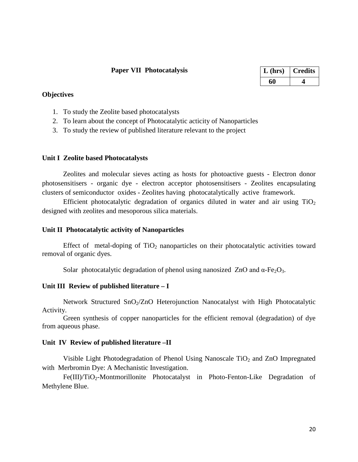### **Paper VII Photocatalysis**

| $L$ (hrs) | <b>Credits</b> |
|-----------|----------------|
|           |                |

### **Objectives**

- 1. To study the Zeolite based photocatalysts
- 2. To learn about the concept of Photocatalytic acticity of Nanoparticles
- 3. To study the review of published literature relevant to the project

#### **Unit I Zeolite based Photocatalysts**

Zeolites and molecular sieves acting as hosts for photoactive guests - Electron donor photosensitisers - organic dye - electron acceptor photosensitisers - Zeolites encapsulating clusters of semiconductor oxides - Zeolites having photocatalytically active framework.

Efficient photocatalytic degradation of organics diluted in water and air using  $TiO<sub>2</sub>$ designed with zeolites and mesoporous silica materials.

### **Unit II Photocatalytic activity of Nanoparticles**

Effect of metal-doping of  $TiO<sub>2</sub>$  nanoparticles on their photocatalytic activities toward removal of organic dyes.

Solar photocatalytic degradation of phenol using nanosized ZnO and  $\alpha$ -Fe<sub>2</sub>O<sub>3</sub>.

# **Unit III Review of published literature – I**

Network Structured SnO<sub>2</sub>/ZnO Heterojunction Nanocatalyst with High Photocatalytic Activity.

Green synthesis of copper nanoparticles for the efficient removal (degradation) of dye from aqueous phase.

#### **Unit IV Review of published literature –II**

Visible Light Photodegradation of Phenol Using Nanoscale  $TiO<sub>2</sub>$  and ZnO Impregnated with Merbromin Dye: A Mechanistic Investigation.

Fe(III)/TiO<sub>2</sub>-Montmorillonite Photocatalyst in Photo-Fenton-Like Degradation of Methylene Blue.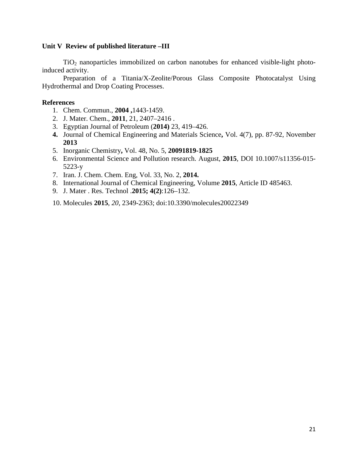### **Unit V Review of published literature –III**

 $TiO<sub>2</sub>$  nanoparticles immobilized on carbon nanotubes for enhanced visible-light photoinduced activity.

Preparation of a Titania/X-Zeolite/Porous Glass Composite Photocatalyst Using Hydrothermal and Drop Coating Processes.

### **References**

- 1. Chem. Commun.*,* **2004 ,**1443-1459.
- 2. J. Mater. Chem., **2011**, 21, 2407–2416 .
- 3. Egyptian Journal of Petroleum (**2014)** 23, 419–426.
- **4.** Journal of Chemical Engineering and Materials Science**,** Vol. 4(7), pp. 87-92, November **2013**
- 5. Inorganic Chemistry**,** Vol. 48, No. 5, **20091819-1825**
- 6. Environmental Science and Pollution research. August, **2015**, DOI 10.1007/s11356-015- 5223-y
- 7. Iran. J. Chem. Chem. Eng, Vol. 33, No. 2, **2014.**
- 8. International Journal of Chemical Engineering, Volume **2015**, Article ID 485463.
- 9. J. Mater . Res. Technol .**2015; 4(2)**:126–132.

10. Molecules **2015**, *20*, 2349-2363; doi:10.3390/molecules20022349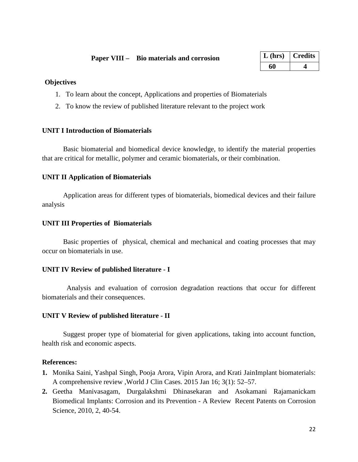| $L$ (hrs) | <b>Credits</b> |
|-----------|----------------|
| 60        |                |

- 1. To learn about the concept, Applications and properties of Biomaterials
- 2. To know the review of published literature relevant to the project work

# **UNIT I Introduction of Biomaterials**

Basic biomaterial and biomedical device knowledge, to identify the material properties that are critical for metallic, polymer and ceramic biomaterials, or their combination.

### **UNIT II Application of Biomaterials**

Application areas for different types of biomaterials, biomedical devices and their failure analysis

### **UNIT III Properties of Biomaterials**

Basic properties of physical, chemical and mechanical and coating processes that may occur on biomaterials in use.

# **UNIT IV Review of published literature - I**

Analysis and evaluation of corrosion degradation reactions that occur for different biomaterials and their consequences.

# **UNIT V Review of published literature - II**

Suggest proper type of biomaterial for given applications, taking into account function, health risk and economic aspects.

- **1.** Monika Saini, Yashpal Singh, Pooja Arora, Vipin Arora, and Krati JainImplant biomaterials: A comprehensive review ,World J Clin Cases. 2015 Jan 16; 3(1): 52–57.
- **2.** Geetha Manivasagam, Durgalakshmi Dhinasekaran and Asokamani Rajamanickam Biomedical Implants: Corrosion and its Prevention - A Review Recent Patents on Corrosion Science, 2010, 2, 40-54.